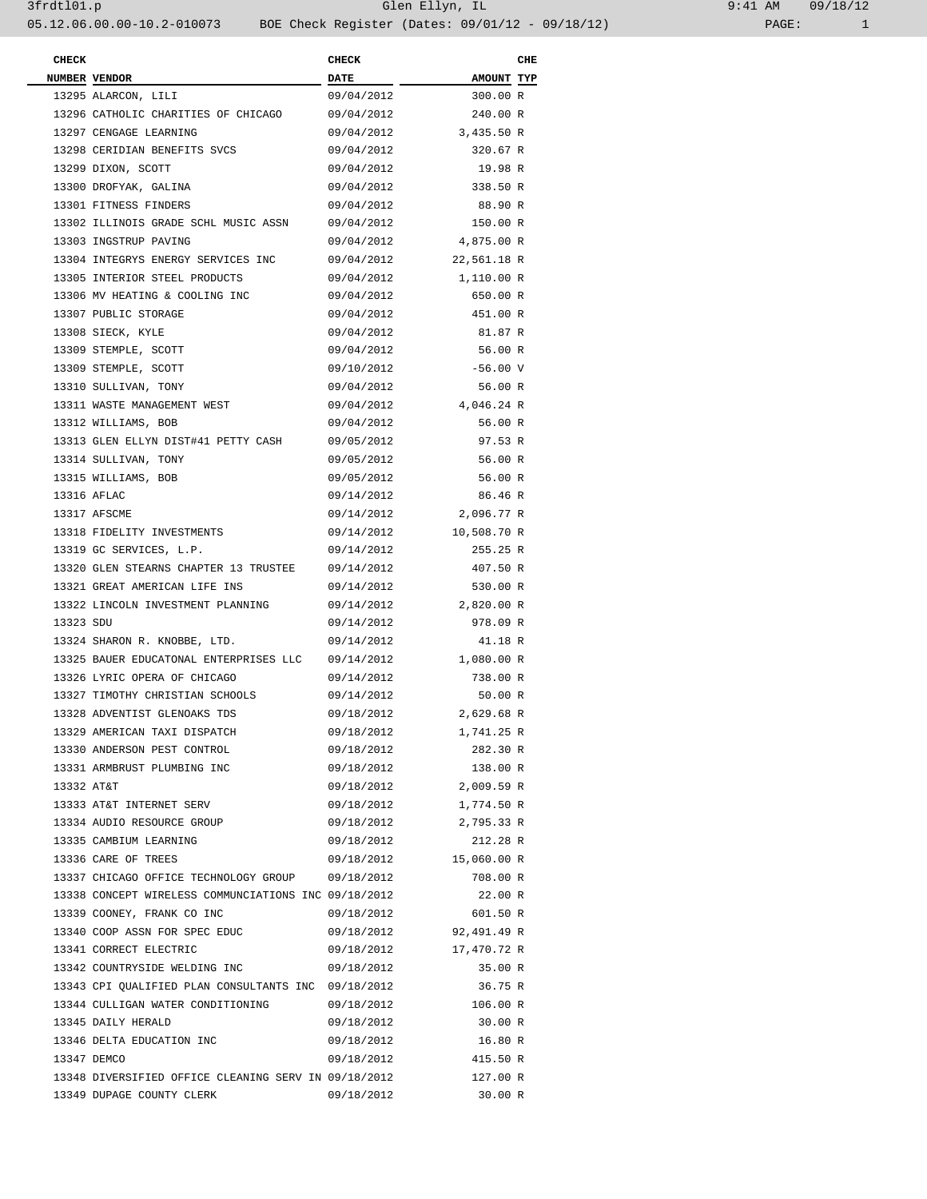| <b>CHECK</b> |                                                              | <b>CHECK</b>    |                        | CHE |
|--------------|--------------------------------------------------------------|-----------------|------------------------|-----|
|              | NUMBER VENDOR                                                | $DATE$ ________ | <b>AMOUNT TYP</b>      |     |
|              | 13295 ALARCON, LILI                                          | 09/04/2012      | 300.00 R               |     |
|              | 13296 CATHOLIC CHARITIES OF CHICAGO                          | 09/04/2012      | 240.00 R               |     |
|              | 13297 CENGAGE LEARNING                                       |                 | 09/04/2012 3,435.50 R  |     |
|              | 13298 CERIDIAN BENEFITS SVCS                                 | 09/04/2012      | 320.67 R               |     |
|              | 13299 DIXON, SCOTT                                           | 09/04/2012      | 19.98 R                |     |
|              | 13300 DROFYAK, GALINA                                        | 09/04/2012      | 338.50 R               |     |
|              | 13301 FITNESS FINDERS                                        | 09/04/2012      | 88.90 R                |     |
|              | 13302 ILLINOIS GRADE SCHL MUSIC ASSN                         | 09/04/2012      | 150.00 R               |     |
|              | 13303 INGSTRUP PAVING                                        | 09/04/2012      | 4,875.00 R             |     |
|              | 13304 INTEGRYS ENERGY SERVICES INC                           |                 | 09/04/2012 22,561.18 R |     |
|              | 13305 INTERIOR STEEL PRODUCTS                                | 09/04/2012      | 1,110.00 R             |     |
|              | 13306 MV HEATING & COOLING INC                               | 09/04/2012      | 650.00 R               |     |
|              | 13307 PUBLIC STORAGE                                         | 09/04/2012      | 451.00 R               |     |
|              | 13308 SIECK, KYLE                                            | 09/04/2012      | 81.87 R                |     |
|              | 13309 STEMPLE, SCOTT                                         | 09/04/2012      | 56.00 R                |     |
|              | 13309 STEMPLE, SCOTT                                         | 09/10/2012      | $-56.00$ V             |     |
|              | 13310 SULLIVAN, TONY                                         | 09/04/2012      | 56.00 R                |     |
|              | 13311 WASTE MANAGEMENT WEST                                  |                 | 09/04/2012 4,046.24 R  |     |
|              | 13312 WILLIAMS, BOB                                          | 09/04/2012      | 56.00 R                |     |
|              |                                                              |                 |                        |     |
|              | 13313 GLEN ELLYN DIST#41 PETTY CASH                          | 09/05/2012      | 97.53 R                |     |
|              | 13314 SULLIVAN, TONY                                         | 09/05/2012      | 56.00 R                |     |
|              | 13315 WILLIAMS, BOB                                          | 09/05/2012      | 56.00 R                |     |
|              | 13316 AFLAC                                                  | 09/14/2012      | 86.46 R                |     |
|              | 13317 AFSCME                                                 | 09/14/2012      | 2,096.77 R             |     |
|              | 13318 FIDELITY INVESTMENTS                                   |                 | 09/14/2012 10,508.70 R |     |
|              | 13319 GC SERVICES, L.P.                                      | 09/14/2012      | 255.25 R               |     |
|              | 13320 GLEN STEARNS CHAPTER 13 TRUSTEE                        | 09/14/2012      | 407.50 R               |     |
|              | 13321 GREAT AMERICAN LIFE INS                                | 09/14/2012      | 530.00 R               |     |
|              | 13322 LINCOLN INVESTMENT PLANNING                            |                 | 09/14/2012 2,820.00 R  |     |
| 13323 SDU    |                                                              | 09/14/2012      | 978.09 R               |     |
|              | 13324 SHARON R. KNOBBE, LTD.                                 | 09/14/2012      | 41.18 R                |     |
|              | 13325 BAUER EDUCATONAL ENTERPRISES LLC 09/14/2012 1,080.00 R |                 |                        |     |
|              | 13326 LYRIC OPERA OF CHICAGO                                 | 09/14/2012      | 738.00 R               |     |
|              | 13327 TIMOTHY CHRISTIAN SCHOOLS                              | 09/14/2012      | 50.00 R                |     |
|              | 13328 ADVENTIST GLENOAKS TDS                                 |                 | 09/18/2012 2,629.68 R  |     |
|              | 13329 AMERICAN TAXI DISPATCH                                 | 09/18/2012      | 1,741.25 R             |     |
|              | 13330 ANDERSON PEST CONTROL                                  | 09/18/2012      | 282.30 R               |     |
|              | 13331 ARMBRUST PLUMBING INC                                  | 09/18/2012      | 138.00 R               |     |
| 13332 AT&T   |                                                              |                 | 09/18/2012 2,009.59 R  |     |
|              | 13333 AT&T INTERNET SERV                                     |                 | 09/18/2012 1,774.50 R  |     |
|              | 13334 AUDIO RESOURCE GROUP                                   |                 | 09/18/2012 2,795.33 R  |     |
|              | 13335 CAMBIUM LEARNING                                       | 09/18/2012      | 212.28 R               |     |
|              | 13336 CARE OF TREES                                          |                 | 09/18/2012 15,060.00 R |     |
|              | 13337 CHICAGO OFFICE TECHNOLOGY GROUP 09/18/2012             |                 | 708.00 R               |     |
|              | 13338 CONCEPT WIRELESS COMMUNCIATIONS INC 09/18/2012         |                 | 22.00 R                |     |
|              |                                                              |                 |                        |     |
|              | 13339 COONEY, FRANK CO INC                                   | 09/18/2012      | 601.50 R               |     |
|              | 13340 COOP ASSN FOR SPEC EDUC                                |                 | 09/18/2012 92,491.49 R |     |
|              | 13341 CORRECT ELECTRIC                                       |                 | 09/18/2012 17,470.72 R |     |
|              | 13342 COUNTRYSIDE WELDING INC                                | 09/18/2012      | 35.00 R                |     |
|              | 13343 CPI QUALIFIED PLAN CONSULTANTS INC 09/18/2012          |                 | 36.75 R                |     |
|              | 13344 CULLIGAN WATER CONDITIONING                            |                 | 09/18/2012 106.00 R    |     |
|              | 13345 DAILY HERALD                                           | 09/18/2012      | 30.00 R                |     |
|              | 13346 DELTA EDUCATION INC                                    | 09/18/2012      | 16.80 R                |     |
|              | 13347 DEMCO                                                  |                 | 09/18/2012 415.50 R    |     |
|              | 13348 DIVERSIFIED OFFICE CLEANING SERV IN 09/18/2012         |                 | 127.00 R               |     |
|              | 13349 DUPAGE COUNTY CLERK                                    | 09/18/2012      | 30.00 R                |     |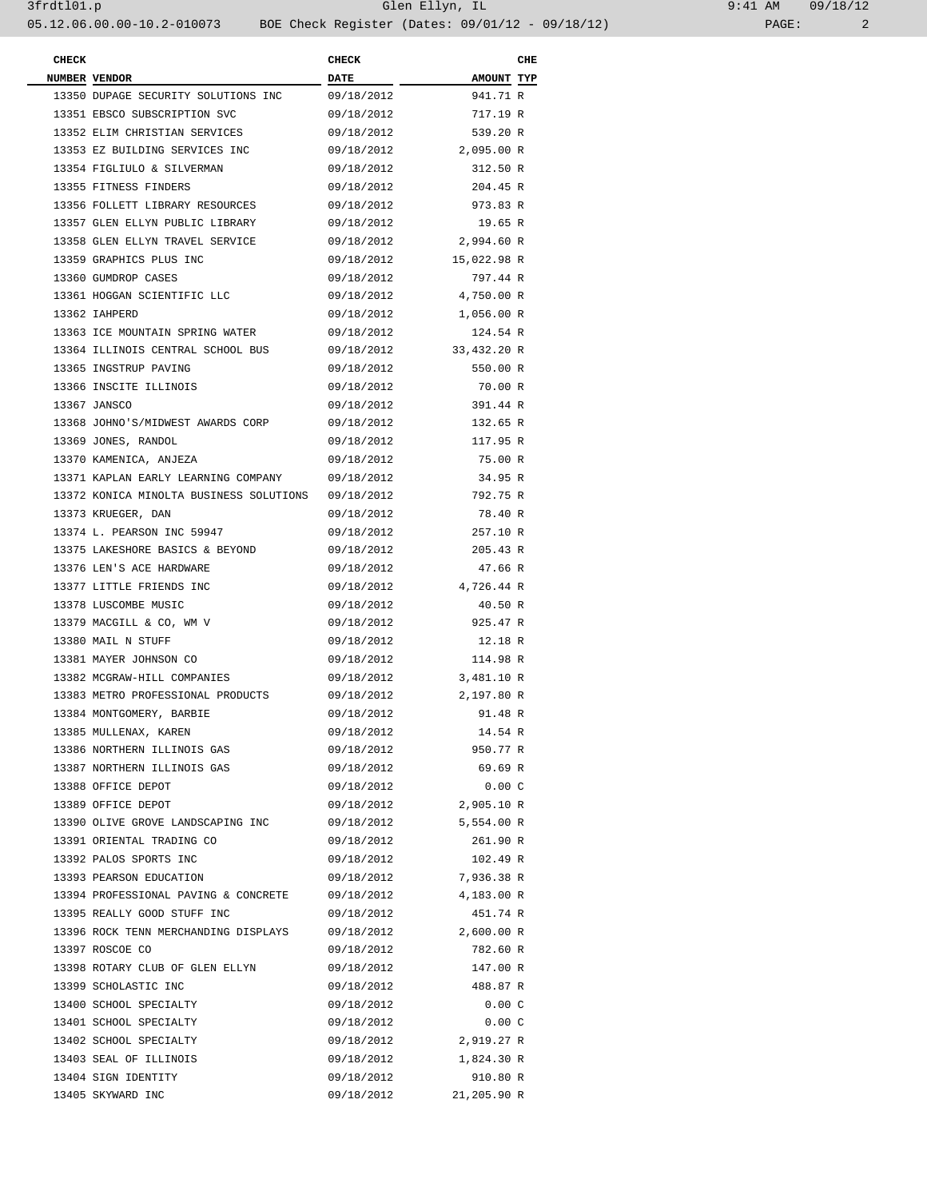| <b>CHECK</b> |                                         | <b>CHECK</b> |             | CHE |
|--------------|-----------------------------------------|--------------|-------------|-----|
|              | NUMBER VENDOR                           | <b>DATE</b>  | AMOUNT TYP  |     |
|              | 13350 DUPAGE SECURITY SOLUTIONS INC     | 09/18/2012   | 941.71 R    |     |
|              | 13351 EBSCO SUBSCRIPTION SVC            | 09/18/2012   | 717.19 R    |     |
|              | 13352 ELIM CHRISTIAN SERVICES           | 09/18/2012   | 539.20 R    |     |
|              | 13353 EZ BUILDING SERVICES INC          | 09/18/2012   | 2,095.00 R  |     |
|              | 13354 FIGLIULO & SILVERMAN              | 09/18/2012   | 312.50 R    |     |
|              | 13355 FITNESS FINDERS                   | 09/18/2012   | 204.45 R    |     |
|              | 13356 FOLLETT LIBRARY RESOURCES         | 09/18/2012   | 973.83 R    |     |
|              | 13357 GLEN ELLYN PUBLIC LIBRARY         | 09/18/2012   | 19.65 R     |     |
|              | 13358 GLEN ELLYN TRAVEL SERVICE         | 09/18/2012   | 2,994.60 R  |     |
|              | 13359 GRAPHICS PLUS INC                 | 09/18/2012   | 15,022.98 R |     |
|              | 13360 GUMDROP CASES                     | 09/18/2012   | 797.44 R    |     |
|              | 13361 HOGGAN SCIENTIFIC LLC             | 09/18/2012   | 4,750.00 R  |     |
|              | 13362 IAHPERD                           | 09/18/2012   | 1,056.00 R  |     |
|              | 13363 ICE MOUNTAIN SPRING WATER         | 09/18/2012   | 124.54 R    |     |
|              | 13364 ILLINOIS CENTRAL SCHOOL BUS       | 09/18/2012   | 33,432.20 R |     |
|              | 13365 INGSTRUP PAVING                   | 09/18/2012   | 550.00 R    |     |
|              | 13366 INSCITE ILLINOIS                  | 09/18/2012   | 70.00 R     |     |
|              | 13367 JANSCO                            | 09/18/2012   | 391.44 R    |     |
|              | 13368 JOHNO'S/MIDWEST AWARDS CORP       | 09/18/2012   | 132.65 R    |     |
|              | 13369 JONES, RANDOL                     | 09/18/2012   | 117.95 R    |     |
|              | 13370 KAMENICA, ANJEZA                  | 09/18/2012   | 75.00 R     |     |
|              | 13371 KAPLAN EARLY LEARNING COMPANY     | 09/18/2012   | 34.95 R     |     |
|              | 13372 KONICA MINOLTA BUSINESS SOLUTIONS | 09/18/2012   | 792.75 R    |     |
|              | 13373 KRUEGER, DAN                      | 09/18/2012   | 78.40 R     |     |
|              | 13374 L. PEARSON INC 59947              | 09/18/2012   | 257.10 R    |     |
|              | 13375 LAKESHORE BASICS & BEYOND         | 09/18/2012   | 205.43 R    |     |
|              | 13376 LEN'S ACE HARDWARE                | 09/18/2012   | 47.66 R     |     |
|              | 13377 LITTLE FRIENDS INC                | 09/18/2012   | 4,726.44 R  |     |
|              |                                         |              |             |     |
|              | 13378 LUSCOMBE MUSIC                    | 09/18/2012   | 40.50 R     |     |
|              | 13379 MACGILL & CO, WM V                | 09/18/2012   | 925.47 R    |     |
|              | 13380 MAIL N STUFF                      | 09/18/2012   | 12.18 R     |     |
|              | 13381 MAYER JOHNSON CO                  | 09/18/2012   | 114.98 R    |     |
|              | 13382 MCGRAW-HILL COMPANIES             | 09/18/2012   | 3,481.10 R  |     |
|              | 13383 METRO PROFESSIONAL PRODUCTS       | 09/18/2012   | 2,197.80 R  |     |
|              | 13384 MONTGOMERY, BARBIE                | 09/18/2012   | 91.48 R     |     |
|              | 13385 MULLENAX, KAREN                   | 09/18/2012   | 14.54 R     |     |
|              | 13386 NORTHERN ILLINOIS GAS             | 09/18/2012   | 950.77 R    |     |
|              | 13387 NORTHERN ILLINOIS GAS             | 09/18/2012   | 69.69 R     |     |
|              | 13388 OFFICE DEPOT                      | 09/18/2012   | 0.00C       |     |
|              | 13389 OFFICE DEPOT                      | 09/18/2012   | 2,905.10 R  |     |
|              | 13390 OLIVE GROVE LANDSCAPING INC       | 09/18/2012   | 5,554.00 R  |     |
|              | 13391 ORIENTAL TRADING CO               | 09/18/2012   | 261.90 R    |     |
|              | 13392 PALOS SPORTS INC                  | 09/18/2012   | 102.49 R    |     |
|              | 13393 PEARSON EDUCATION                 | 09/18/2012   | 7,936.38 R  |     |
|              | 13394 PROFESSIONAL PAVING & CONCRETE    | 09/18/2012   | 4,183.00 R  |     |
|              | 13395 REALLY GOOD STUFF INC             | 09/18/2012   | 451.74 R    |     |
|              | 13396 ROCK TENN MERCHANDING DISPLAYS    | 09/18/2012   | 2,600.00 R  |     |
|              | 13397 ROSCOE CO                         | 09/18/2012   | 782.60 R    |     |
|              | 13398 ROTARY CLUB OF GLEN ELLYN         | 09/18/2012   | 147.00 R    |     |
|              | 13399 SCHOLASTIC INC                    | 09/18/2012   | 488.87 R    |     |
|              | 13400 SCHOOL SPECIALTY                  | 09/18/2012   | 0.00C       |     |
|              | 13401 SCHOOL SPECIALTY                  | 09/18/2012   | 0.00C       |     |
|              | 13402 SCHOOL SPECIALTY                  | 09/18/2012   | 2,919.27 R  |     |
|              | 13403 SEAL OF ILLINOIS                  | 09/18/2012   | 1,824.30 R  |     |
|              | 13404 SIGN IDENTITY                     | 09/18/2012   | 910.80 R    |     |
|              | 13405 SKYWARD INC                       | 09/18/2012   | 21,205.90 R |     |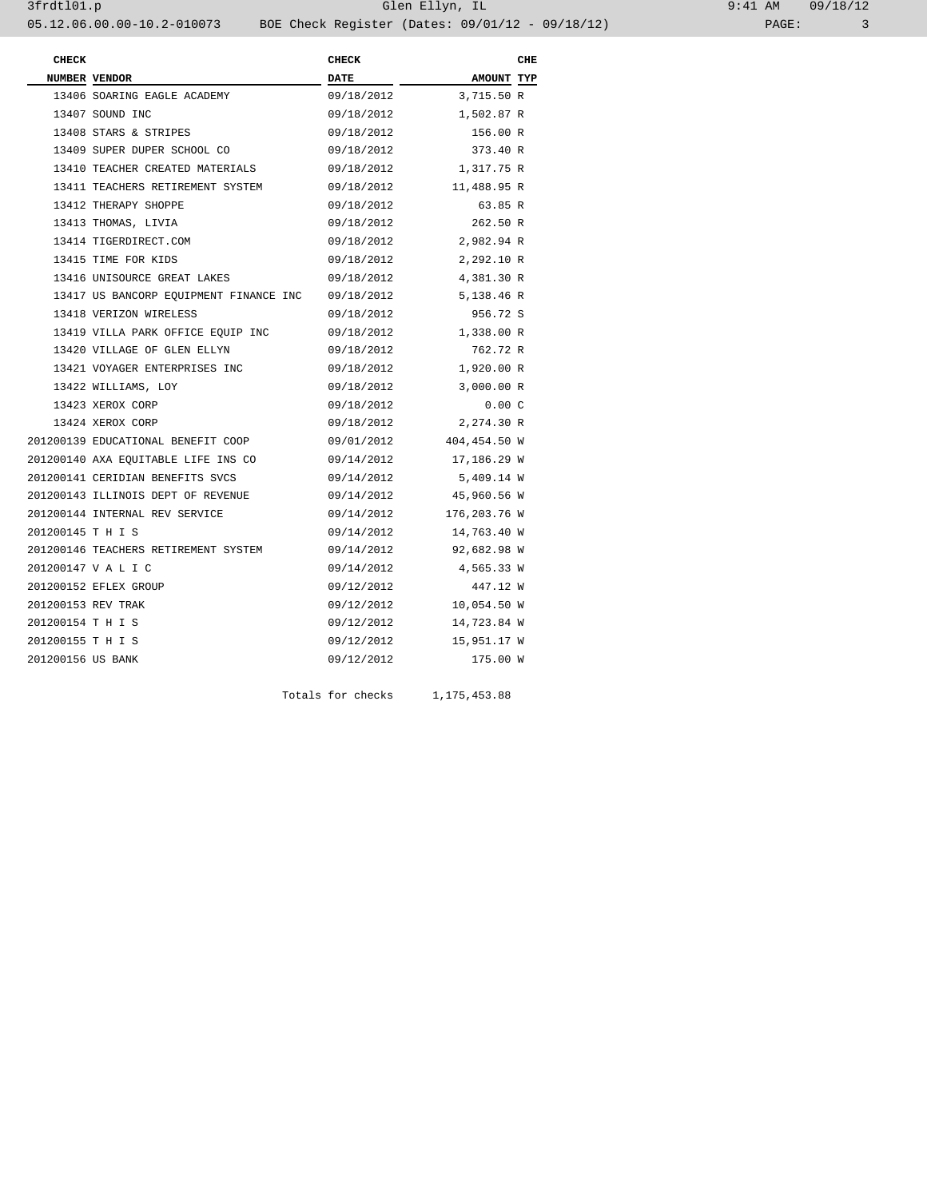| $9:41$ AM |       | 09/18/12 |  |  |
|-----------|-------|----------|--|--|
|           | PAGE: |          |  |  |

| <b>CHECK</b>       |                                        | <b>CHECK</b> |                         | CHE |
|--------------------|----------------------------------------|--------------|-------------------------|-----|
|                    | NUMBER VENDOR                          | <b>DATE</b>  | AMOUNT TYP              |     |
|                    | 13406 SOARING EAGLE ACADEMY            | 09/18/2012   | 3,715.50 R              |     |
|                    | 13407 SOUND INC                        | 09/18/2012   | 1,502.87 R              |     |
|                    | 13408 STARS & STRIPES                  | 09/18/2012   | 156.00 R                |     |
|                    | 13409 SUPER DUPER SCHOOL CO            | 09/18/2012   | 373.40 R                |     |
|                    | 13410 TEACHER CREATED MATERIALS        | 09/18/2012   | 1,317.75 R              |     |
|                    | 13411 TEACHERS RETIREMENT SYSTEM       | 09/18/2012   | 11,488.95 R             |     |
|                    | 13412 THERAPY SHOPPE                   | 09/18/2012   | 63.85 R                 |     |
|                    | 13413 THOMAS, LIVIA                    | 09/18/2012   | 262.50 R                |     |
|                    | 13414 TIGERDIRECT.COM                  | 09/18/2012   | 2,982.94 R              |     |
|                    | 13415 TIME FOR KIDS                    | 09/18/2012   | 2,292.10 R              |     |
|                    | 13416 UNISOURCE GREAT LAKES            | 09/18/2012   | 4,381.30 R              |     |
|                    | 13417 US BANCORP EQUIPMENT FINANCE INC | 09/18/2012   | 5,138.46 R              |     |
|                    | 13418 VERIZON WIRELESS                 | 09/18/2012   | 956.72 S                |     |
|                    | 13419 VILLA PARK OFFICE EQUIP INC      | 09/18/2012   | 1,338.00 R              |     |
|                    | 13420 VILLAGE OF GLEN ELLYN            | 09/18/2012   | 762.72 R                |     |
|                    | 13421 VOYAGER ENTERPRISES INC          | 09/18/2012   | 1,920.00 R              |     |
|                    | 13422 WILLIAMS, LOY                    | 09/18/2012   | 3,000.00 R              |     |
|                    | 13423 XEROX CORP                       | 09/18/2012   | 0.00C                   |     |
|                    | 13424 XEROX CORP                       | 09/18/2012   | 2,274.30 R              |     |
|                    | 201200139 EDUCATIONAL BENEFIT COOP     |              | 09/01/2012 404,454.50 W |     |
|                    | 201200140 AXA EQUITABLE LIFE INS CO    | 09/14/2012   | 17,186.29 W             |     |
|                    | 201200141 CERIDIAN BENEFITS SVCS       | 09/14/2012   | 5,409.14 W              |     |
|                    | 201200143 ILLINOIS DEPT OF REVENUE     | 09/14/2012   | 45,960.56 W             |     |
|                    | 201200144 INTERNAL REV SERVICE         | 09/14/2012   | 176,203.76 W            |     |
| 201200145 T H I S  |                                        | 09/14/2012   | 14,763.40 W             |     |
|                    | 201200146 TEACHERS RETIREMENT SYSTEM   | 09/14/2012   | 92,682.98 W             |     |
|                    | 201200147 V A L I C                    | 09/14/2012   | 4,565.33 W              |     |
|                    | 201200152 EFLEX GROUP                  | 09/12/2012   | 447.12 W                |     |
| 201200153 REV TRAK |                                        | 09/12/2012   | 10,054.50 W             |     |
| 201200154 T H I S  |                                        | 09/12/2012   | 14,723.84 W             |     |
| 201200155 T H I S  |                                        | 09/12/2012   | 15,951.17 W             |     |
| 201200156 US BANK  |                                        | 09/12/2012   | 175.00 W                |     |
|                    |                                        |              |                         |     |

Totals for checks 1,175,453.88